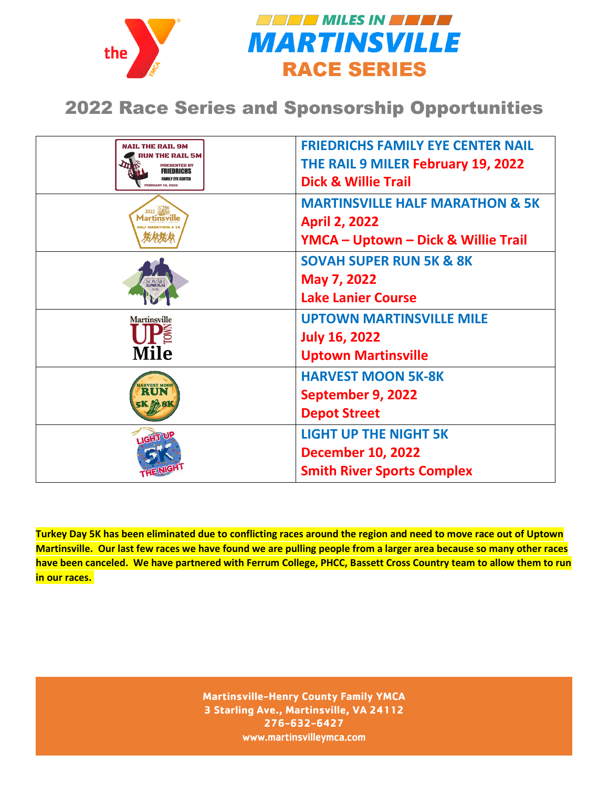



## 2022 Race Series and Sponsorship Opportunities

| NAIL THE RAIL 9M<br>RUN THE RAIL 5M<br><b>PRESENTED BY</b><br><b>FRIEDRICHS</b><br><b>FAMILY EYE CENTER</b><br><b>FEBRUARY 19, 2022</b> | <b>FRIEDRICHS FAMILY EYE CENTER NAIL</b><br>THE RAIL 9 MILER February 19, 2022<br><b>Dick &amp; Willie Trail</b>     |
|-----------------------------------------------------------------------------------------------------------------------------------------|----------------------------------------------------------------------------------------------------------------------|
| 2022 延長<br><b>Martinsville</b>                                                                                                          | <b>MARTINSVILLE HALF MARATHON &amp; 5K</b><br><b>April 2, 2022</b><br><b>YMCA - Uptown - Dick &amp; Willie Trail</b> |
| <b>UPER RU</b>                                                                                                                          | <b>SOVAH SUPER RUN 5K &amp; 8K</b><br>May 7, 2022<br><b>Lake Lanier Course</b>                                       |
| <b>Martinsville</b><br><b>Mile</b>                                                                                                      | <b>UPTOWN MARTINSVILLE MILE</b><br><b>July 16, 2022</b><br><b>Uptown Martinsville</b>                                |
| <b>VEST MOO</b>                                                                                                                         | <b>HARVEST MOON 5K-8K</b><br>September 9, 2022<br><b>Depot Street</b>                                                |
| <b>IGHT</b>                                                                                                                             | <b>LIGHT UP THE NIGHT 5K</b><br><b>December 10, 2022</b><br><b>Smith River Sports Complex</b>                        |

**Turkey Day 5K has been eliminated due to conflicting races around the region and need to move race out of Uptown Martinsville. Our last few races we have found we are pulling people from a larger area because so many other races have been canceled. We have partnered with Ferrum College, PHCC, Bassett Cross Country team to allow them to run in our races.** 

> **Martinsville-Henry County Family YMCA 3 Starling Ave., Martinsville, VA 24112 276-632-6427** www.martinsvilleymca.com